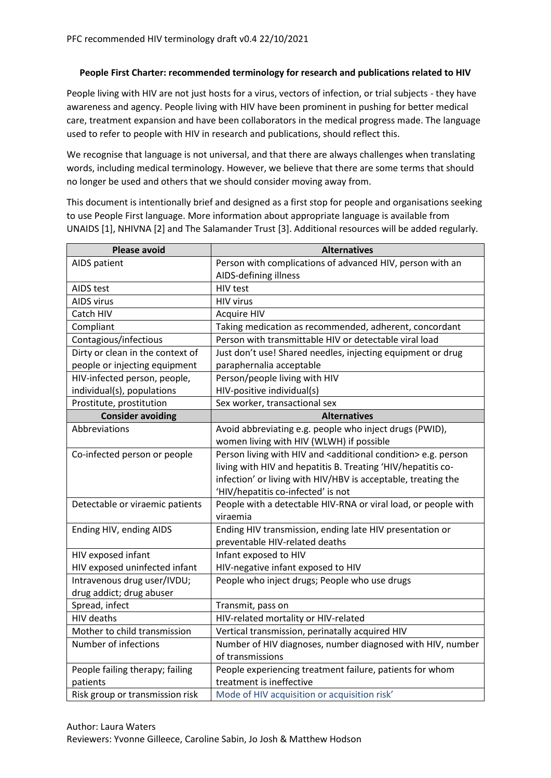## **People First Charter: recommended terminology for research and publications related to HIV**

People living with HIV are not just hosts for a virus, vectors of infection, or trial subjects - they have awareness and agency. People living with HIV have been prominent in pushing for better medical care, treatment expansion and have been collaborators in the medical progress made. The language used to refer to people with HIV in research and publications, should reflect this.

We recognise that language is not universal, and that there are always challenges when translating words, including medical terminology. However, we believe that there are some terms that should no longer be used and others that we should consider moving away from.

This document is intentionally brief and designed as a first stop for people and organisations seeking to use People First language. More information about appropriate language is available from UNAIDS [1], NHIVNA [2] and The Salamander Trust [3]. Additional resources will be added regularly.

| <b>Please avoid</b>              | <b>Alternatives</b>                                                           |
|----------------------------------|-------------------------------------------------------------------------------|
| AIDS patient                     | Person with complications of advanced HIV, person with an                     |
|                                  | AIDS-defining illness                                                         |
| AIDS test                        | HIV test                                                                      |
| <b>AIDS virus</b>                | <b>HIV virus</b>                                                              |
| Catch HIV                        | <b>Acquire HIV</b>                                                            |
| Compliant                        | Taking medication as recommended, adherent, concordant                        |
| Contagious/infectious            | Person with transmittable HIV or detectable viral load                        |
| Dirty or clean in the context of | Just don't use! Shared needles, injecting equipment or drug                   |
| people or injecting equipment    | paraphernalia acceptable                                                      |
| HIV-infected person, people,     | Person/people living with HIV                                                 |
| individual(s), populations       | HIV-positive individual(s)                                                    |
| Prostitute, prostitution         | Sex worker, transactional sex                                                 |
| <b>Consider avoiding</b>         | <b>Alternatives</b>                                                           |
| Abbreviations                    | Avoid abbreviating e.g. people who inject drugs (PWID),                       |
|                                  | women living with HIV (WLWH) if possible                                      |
| Co-infected person or people     | Person living with HIV and <additional condition=""> e.g. person</additional> |
|                                  | living with HIV and hepatitis B. Treating 'HIV/hepatitis co-                  |
|                                  | infection' or living with HIV/HBV is acceptable, treating the                 |
|                                  | 'HIV/hepatitis co-infected' is not                                            |
| Detectable or viraemic patients  | People with a detectable HIV-RNA or viral load, or people with                |
|                                  | viraemia                                                                      |
| Ending HIV, ending AIDS          | Ending HIV transmission, ending late HIV presentation or                      |
|                                  | preventable HIV-related deaths                                                |
| HIV exposed infant               | Infant exposed to HIV                                                         |
| HIV exposed uninfected infant    | HIV-negative infant exposed to HIV                                            |
| Intravenous drug user/IVDU;      | People who inject drugs; People who use drugs                                 |
| drug addict; drug abuser         |                                                                               |
| Spread, infect                   | Transmit, pass on                                                             |
| <b>HIV</b> deaths                | HIV-related mortality or HIV-related                                          |
| Mother to child transmission     | Vertical transmission, perinatally acquired HIV                               |
| Number of infections             | Number of HIV diagnoses, number diagnosed with HIV, number                    |
|                                  | of transmissions                                                              |
| People failing therapy; failing  | People experiencing treatment failure, patients for whom                      |
| patients                         | treatment is ineffective                                                      |
| Risk group or transmission risk  | Mode of HIV acquisition or acquisition risk'                                  |